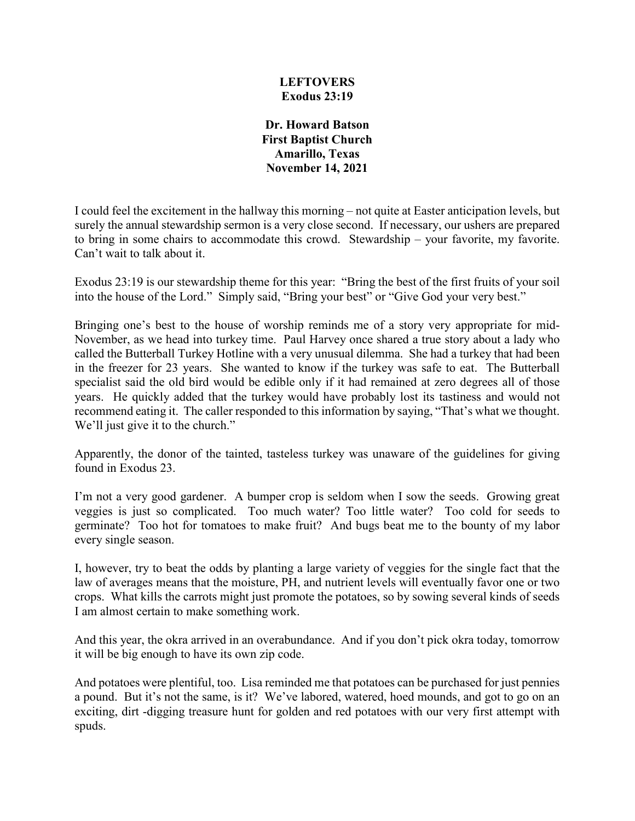## **LEFTOVERS Exodus 23:19**

**Dr. Howard Batson First Baptist Church Amarillo, Texas November 14, 2021**

I could feel the excitement in the hallway this morning – not quite at Easter anticipation levels, but surely the annual stewardship sermon is a very close second. If necessary, our ushers are prepared to bring in some chairs to accommodate this crowd. Stewardship – your favorite, my favorite. Can't wait to talk about it.

Exodus 23:19 is our stewardship theme for this year: "Bring the best of the first fruits of your soil into the house of the Lord." Simply said, "Bring your best" or "Give God your very best."

Bringing one's best to the house of worship reminds me of a story very appropriate for mid-November, as we head into turkey time. Paul Harvey once shared a true story about a lady who called the Butterball Turkey Hotline with a very unusual dilemma. She had a turkey that had been in the freezer for 23 years. She wanted to know if the turkey was safe to eat. The Butterball specialist said the old bird would be edible only if it had remained at zero degrees all of those years. He quickly added that the turkey would have probably lost its tastiness and would not recommend eating it. The caller responded to this information by saying, "That's what we thought. We'll just give it to the church."

Apparently, the donor of the tainted, tasteless turkey was unaware of the guidelines for giving found in Exodus 23.

I'm not a very good gardener. A bumper crop is seldom when I sow the seeds. Growing great veggies is just so complicated. Too much water? Too little water? Too cold for seeds to germinate? Too hot for tomatoes to make fruit? And bugs beat me to the bounty of my labor every single season.

I, however, try to beat the odds by planting a large variety of veggies for the single fact that the law of averages means that the moisture, PH, and nutrient levels will eventually favor one or two crops. What kills the carrots might just promote the potatoes, so by sowing several kinds of seeds I am almost certain to make something work.

And this year, the okra arrived in an overabundance. And if you don't pick okra today, tomorrow it will be big enough to have its own zip code.

And potatoes were plentiful, too. Lisa reminded me that potatoes can be purchased for just pennies a pound. But it's not the same, is it? We've labored, watered, hoed mounds, and got to go on an exciting, dirt -digging treasure hunt for golden and red potatoes with our very first attempt with spuds.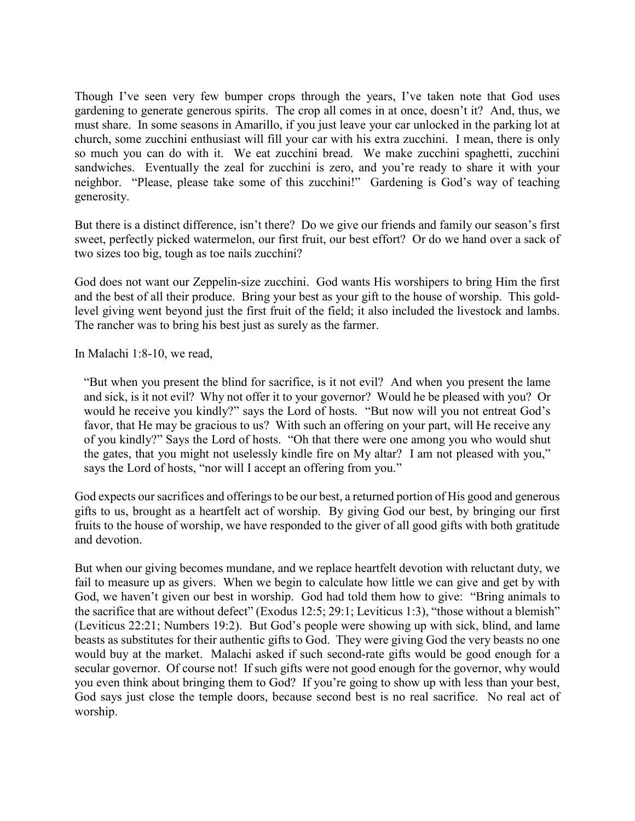Though I've seen very few bumper crops through the years, I've taken note that God uses gardening to generate generous spirits. The crop all comes in at once, doesn't it? And, thus, we must share. In some seasons in Amarillo, if you just leave your car unlocked in the parking lot at church, some zucchini enthusiast will fill your car with his extra zucchini. I mean, there is only so much you can do with it. We eat zucchini bread. We make zucchini spaghetti, zucchini sandwiches. Eventually the zeal for zucchini is zero, and you're ready to share it with your neighbor. "Please, please take some of this zucchini!" Gardening is God's way of teaching generosity.

But there is a distinct difference, isn't there? Do we give our friends and family our season's first sweet, perfectly picked watermelon, our first fruit, our best effort? Or do we hand over a sack of two sizes too big, tough as toe nails zucchini?

God does not want our Zeppelin-size zucchini. God wants His worshipers to bring Him the first and the best of all their produce. Bring your best as your gift to the house of worship. This goldlevel giving went beyond just the first fruit of the field; it also included the livestock and lambs. The rancher was to bring his best just as surely as the farmer.

In Malachi 1:8-10, we read,

"But when you present the blind for sacrifice, is it not evil? And when you present the lame and sick, is it not evil? Why not offer it to your governor? Would he be pleased with you? Or would he receive you kindly?" says the Lord of hosts. "But now will you not entreat God's favor, that He may be gracious to us? With such an offering on your part, will He receive any of you kindly?" Says the Lord of hosts. "Oh that there were one among you who would shut the gates, that you might not uselessly kindle fire on My altar? I am not pleased with you," says the Lord of hosts, "nor will I accept an offering from you."

God expects our sacrifices and offerings to be our best, a returned portion of His good and generous gifts to us, brought as a heartfelt act of worship. By giving God our best, by bringing our first fruits to the house of worship, we have responded to the giver of all good gifts with both gratitude and devotion.

But when our giving becomes mundane, and we replace heartfelt devotion with reluctant duty, we fail to measure up as givers. When we begin to calculate how little we can give and get by with God, we haven't given our best in worship. God had told them how to give: "Bring animals to the sacrifice that are without defect" (Exodus 12:5; 29:1; Leviticus 1:3), "those without a blemish" (Leviticus 22:21; Numbers 19:2). But God's people were showing up with sick, blind, and lame beasts as substitutes for their authentic gifts to God. They were giving God the very beasts no one would buy at the market. Malachi asked if such second-rate gifts would be good enough for a secular governor. Of course not! If such gifts were not good enough for the governor, why would you even think about bringing them to God? If you're going to show up with less than your best, God says just close the temple doors, because second best is no real sacrifice. No real act of worship.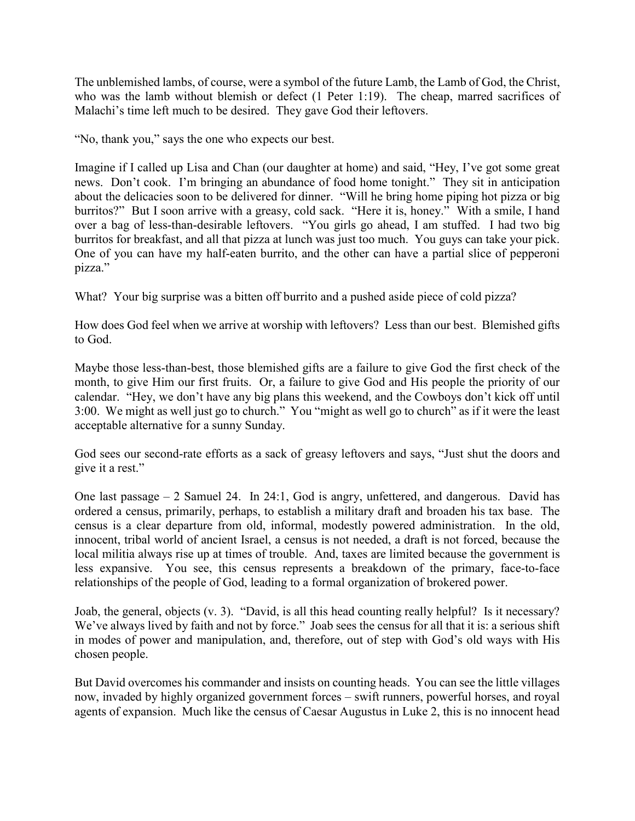The unblemished lambs, of course, were a symbol of the future Lamb, the Lamb of God, the Christ, who was the lamb without blemish or defect (1 Peter 1:19). The cheap, marred sacrifices of Malachi's time left much to be desired. They gave God their leftovers.

"No, thank you," says the one who expects our best.

Imagine if I called up Lisa and Chan (our daughter at home) and said, "Hey, I've got some great news. Don't cook. I'm bringing an abundance of food home tonight." They sit in anticipation about the delicacies soon to be delivered for dinner. "Will he bring home piping hot pizza or big burritos?" But I soon arrive with a greasy, cold sack. "Here it is, honey." With a smile, I hand over a bag of less-than-desirable leftovers. "You girls go ahead, I am stuffed. I had two big burritos for breakfast, and all that pizza at lunch was just too much. You guys can take your pick. One of you can have my half-eaten burrito, and the other can have a partial slice of pepperoni pizza."

What? Your big surprise was a bitten off burrito and a pushed aside piece of cold pizza?

How does God feel when we arrive at worship with leftovers? Less than our best. Blemished gifts to God.

Maybe those less-than-best, those blemished gifts are a failure to give God the first check of the month, to give Him our first fruits. Or, a failure to give God and His people the priority of our calendar. "Hey, we don't have any big plans this weekend, and the Cowboys don't kick off until 3:00. We might as well just go to church." You "might as well go to church" as if it were the least acceptable alternative for a sunny Sunday.

God sees our second-rate efforts as a sack of greasy leftovers and says, "Just shut the doors and give it a rest."

One last passage – 2 Samuel 24. In 24:1, God is angry, unfettered, and dangerous. David has ordered a census, primarily, perhaps, to establish a military draft and broaden his tax base. The census is a clear departure from old, informal, modestly powered administration. In the old, innocent, tribal world of ancient Israel, a census is not needed, a draft is not forced, because the local militia always rise up at times of trouble. And, taxes are limited because the government is less expansive. You see, this census represents a breakdown of the primary, face-to-face relationships of the people of God, leading to a formal organization of brokered power.

Joab, the general, objects (v. 3). "David, is all this head counting really helpful? Is it necessary? We've always lived by faith and not by force." Joab sees the census for all that it is: a serious shift in modes of power and manipulation, and, therefore, out of step with God's old ways with His chosen people.

But David overcomes his commander and insists on counting heads. You can see the little villages now, invaded by highly organized government forces – swift runners, powerful horses, and royal agents of expansion. Much like the census of Caesar Augustus in Luke 2, this is no innocent head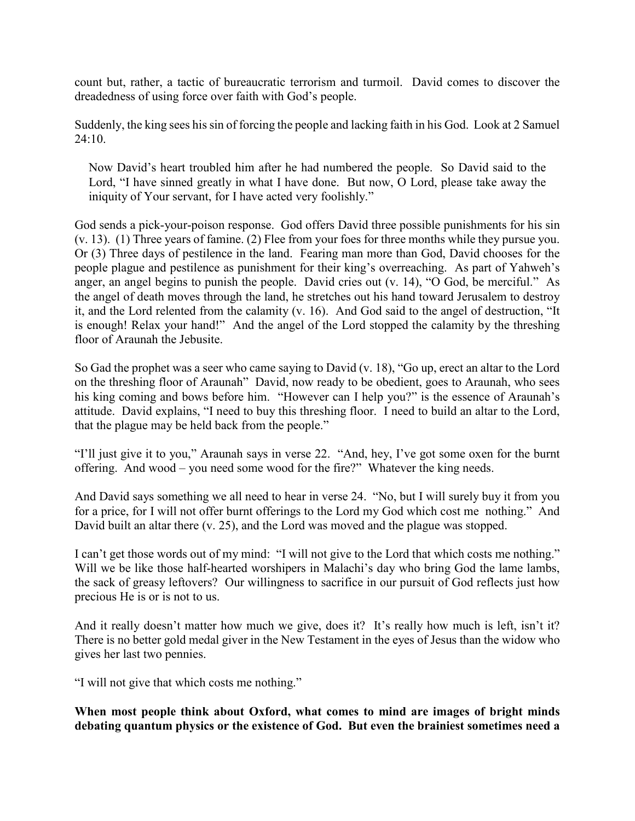count but, rather, a tactic of bureaucratic terrorism and turmoil. David comes to discover the dreadedness of using force over faith with God's people.

Suddenly, the king sees his sin of forcing the people and lacking faith in his God. Look at 2 Samuel 24:10.

Now David's heart troubled him after he had numbered the people. So David said to the Lord, "I have sinned greatly in what I have done. But now, O Lord, please take away the iniquity of Your servant, for I have acted very foolishly."

God sends a pick-your-poison response. God offers David three possible punishments for his sin (v. 13). (1) Three years of famine. (2) Flee from your foes for three months while they pursue you. Or (3) Three days of pestilence in the land. Fearing man more than God, David chooses for the people plague and pestilence as punishment for their king's overreaching. As part of Yahweh's anger, an angel begins to punish the people. David cries out (v. 14), "O God, be merciful." As the angel of death moves through the land, he stretches out his hand toward Jerusalem to destroy it, and the Lord relented from the calamity (v. 16). And God said to the angel of destruction, "It is enough! Relax your hand!" And the angel of the Lord stopped the calamity by the threshing floor of Araunah the Jebusite.

So Gad the prophet was a seer who came saying to David (v. 18), "Go up, erect an altar to the Lord on the threshing floor of Araunah" David, now ready to be obedient, goes to Araunah, who sees his king coming and bows before him. "However can I help you?" is the essence of Araunah's attitude. David explains, "I need to buy this threshing floor. I need to build an altar to the Lord, that the plague may be held back from the people."

"I'll just give it to you," Araunah says in verse 22. "And, hey, I've got some oxen for the burnt offering. And wood – you need some wood for the fire?" Whatever the king needs.

And David says something we all need to hear in verse 24. "No, but I will surely buy it from you for a price, for I will not offer burnt offerings to the Lord my God which cost me nothing." And David built an altar there (v. 25), and the Lord was moved and the plague was stopped.

I can't get those words out of my mind: "I will not give to the Lord that which costs me nothing." Will we be like those half-hearted worshipers in Malachi's day who bring God the lame lambs, the sack of greasy leftovers? Our willingness to sacrifice in our pursuit of God reflects just how precious He is or is not to us.

And it really doesn't matter how much we give, does it? It's really how much is left, isn't it? There is no better gold medal giver in the New Testament in the eyes of Jesus than the widow who gives her last two pennies.

"I will not give that which costs me nothing."

**When most people think about Oxford, what comes to mind are images of bright minds debating quantum physics or the existence of God. But even the brainiest sometimes need a**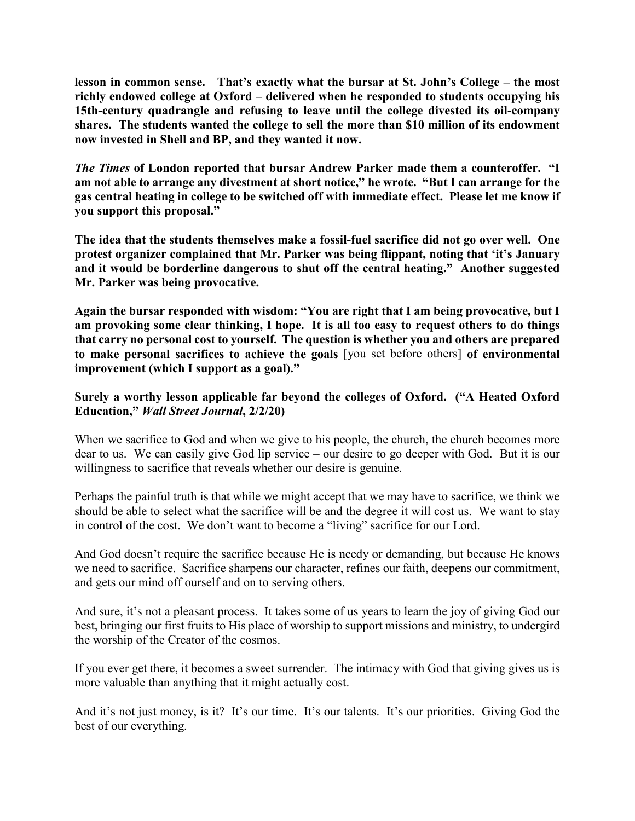**lesson in common sense. That's exactly what the bursar at St. John's College – the most richly endowed college at Oxford – delivered when he responded to students occupying his 15th-century quadrangle and refusing to leave until the college divested its oil-company shares. The students wanted the college to sell the more than \$10 million of its endowment now invested in Shell and BP, and they wanted it now.**

*The Times* **of London reported that bursar Andrew Parker made them a counteroffer. "I am not able to arrange any divestment at short notice," he wrote. "But I can arrange for the gas central heating in college to be switched off with immediate effect. Please let me know if you support this proposal."**

**The idea that the students themselves make a fossil-fuel sacrifice did not go over well. One protest organizer complained that Mr. Parker was being flippant, noting that 'it's January and it would be borderline dangerous to shut off the central heating." Another suggested Mr. Parker was being provocative.**

**Again the bursar responded with wisdom: "You are right that I am being provocative, but I am provoking some clear thinking, I hope. It is all too easy to request others to do things that carry no personal cost to yourself. The question is whether you and others are prepared to make personal sacrifices to achieve the goals** [you set before others] **of environmental improvement (which I support as a goal)."**

## **Surely a worthy lesson applicable far beyond the colleges of Oxford. ("A Heated Oxford Education,"** *Wall Street Journal***, 2/2/20)**

When we sacrifice to God and when we give to his people, the church, the church becomes more dear to us. We can easily give God lip service – our desire to go deeper with God. But it is our willingness to sacrifice that reveals whether our desire is genuine.

Perhaps the painful truth is that while we might accept that we may have to sacrifice, we think we should be able to select what the sacrifice will be and the degree it will cost us. We want to stay in control of the cost. We don't want to become a "living" sacrifice for our Lord.

And God doesn't require the sacrifice because He is needy or demanding, but because He knows we need to sacrifice. Sacrifice sharpens our character, refines our faith, deepens our commitment, and gets our mind off ourself and on to serving others.

And sure, it's not a pleasant process. It takes some of us years to learn the joy of giving God our best, bringing our first fruits to His place of worship to support missions and ministry, to undergird the worship of the Creator of the cosmos.

If you ever get there, it becomes a sweet surrender. The intimacy with God that giving gives us is more valuable than anything that it might actually cost.

And it's not just money, is it? It's our time. It's our talents. It's our priorities. Giving God the best of our everything.